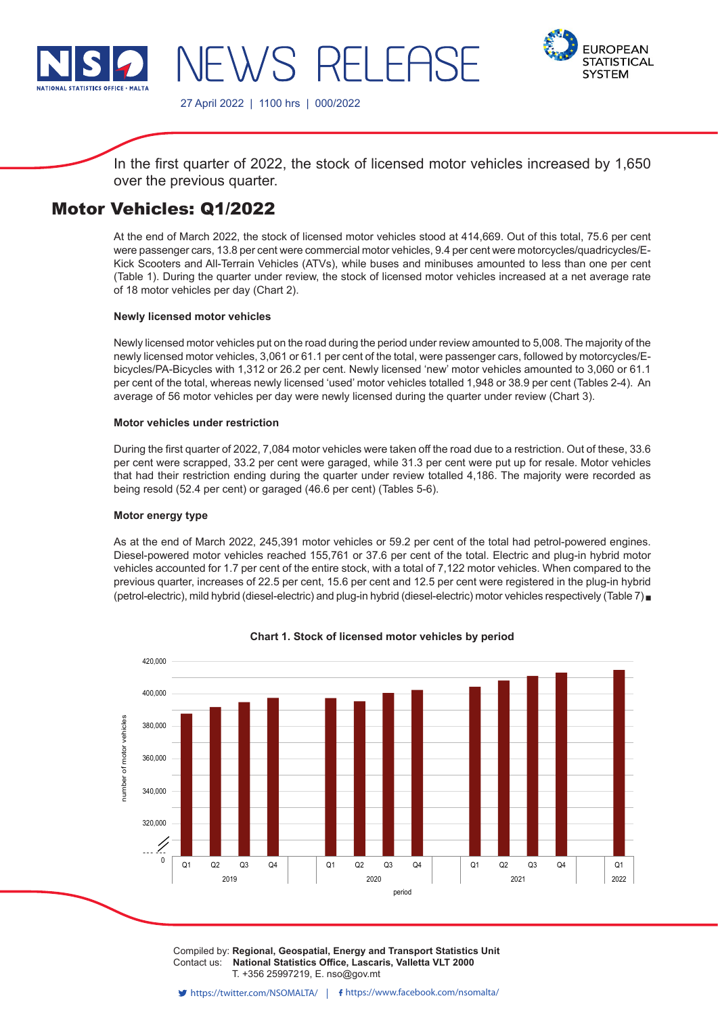

-WS RFI FAS

27 April 2022 | 1100 hrs | 000/2022



In the first quarter of 2022, the stock of licensed motor vehicles increased by 1,650 over the previous quarter.

# Motor Vehicles: Q1/2022

At the end of March 2022, the stock of licensed motor vehicles stood at 414,669. Out of this total, 75.6 per cent were passenger cars, 13.8 per cent were commercial motor vehicles, 9.4 per cent were motorcycles/quadricycles/E-Kick Scooters and All-Terrain Vehicles (ATVs), while buses and minibuses amounted to less than one per cent (Table 1). During the quarter under review, the stock of licensed motor vehicles increased at a net average rate of 18 motor vehicles per day (Chart 2).

# **Newly licensed motor vehicles**

Newly licensed motor vehicles put on the road during the period under review amounted to 5,008. The majority of the newly licensed motor vehicles, 3,061 or 61.1 per cent of the total, were passenger cars, followed by motorcycles/Ebicycles/PA-Bicycles with 1,312 or 26.2 per cent. Newly licensed 'new' motor vehicles amounted to 3,060 or 61.1 per cent of the total, whereas newly licensed 'used' motor vehicles totalled 1,948 or 38.9 per cent (Tables 2-4). An average of 56 motor vehicles per day were newly licensed during the quarter under review (Chart 3).

# **Motor vehicles under restriction**

During the first quarter of 2022, 7,084 motor vehicles were taken off the road due to a restriction. Out of these, 33.6 per cent were scrapped, 33.2 per cent were garaged, while 31.3 per cent were put up for resale. Motor vehicles that had their restriction ending during the quarter under review totalled 4,186. The majority were recorded as being resold (52.4 per cent) or garaged (46.6 per cent) (Tables 5-6).

# **Motor energy type**

As at the end of March 2022, 245,391 motor vehicles or 59.2 per cent of the total had petrol-powered engines. Diesel-powered motor vehicles reached 155,761 or 37.6 per cent of the total. Electric and plug-in hybrid motor vehicles accounted for 1.7 per cent of the entire stock, with a total of 7,122 motor vehicles. When compared to the previous quarter, increases of 22.5 per cent, 15.6 per cent and 12.5 per cent were registered in the plug-in hybrid (petrol-electric), mild hybrid (diesel-electric) and plug-in hybrid (diesel-electric) motor vehicles respectively (Table 7)



**Chart 1. Stock of licensed motor vehicles by period**

Compiled by: Regional, Geospatial, Energy and Transport Statistics Unit Contact us: **National Statistics Office, Lascaris, Valletta VLT 2000** T. +356 25997219, E. nso@gov.mt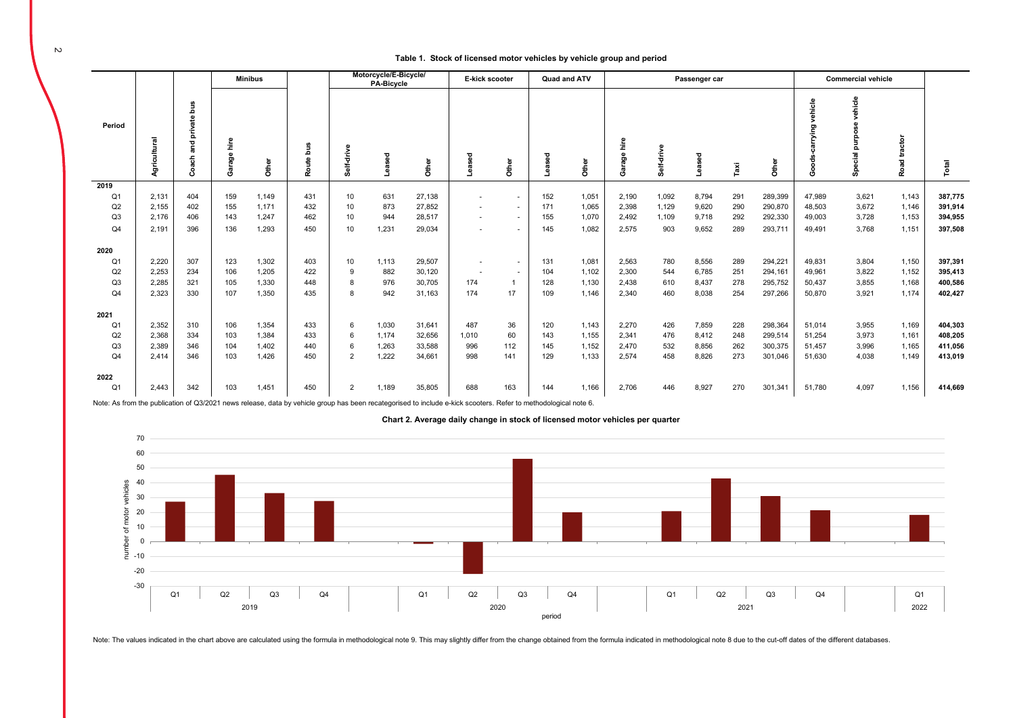#### **Table 1. Stock of licensed motor vehicles by vehicle group and period**

| <b>Minibus</b> |              |                             |                |       |           | Motorcycle/E-Bicycle/<br>PA-Bicycle |        |        | E-kick scooter<br>Quad and ATV |        | Passenger car |       |                             |            |        | <b>Commercial vehicle</b> |         |                             |                              |                 |         |
|----------------|--------------|-----------------------------|----------------|-------|-----------|-------------------------------------|--------|--------|--------------------------------|--------|---------------|-------|-----------------------------|------------|--------|---------------------------|---------|-----------------------------|------------------------------|-----------------|---------|
| Period         | Agricultural | private bus<br>and<br>Coach | hire<br>Garage | Other | Route bus | Self-driv                           | Leased | Other  | Leased                         | Other  |               | Other | hire<br>$\omega$<br>ទូ<br>ී | Self-drive | Leased | Taxi                      | Other   | vehicle<br>carrying<br>Good | vehicle<br>purpos<br>Special | tractor<br>Road | Total   |
| 2019           |              |                             |                |       |           |                                     |        |        |                                |        |               |       |                             |            |        |                           |         |                             |                              |                 |         |
| Q <sub>1</sub> | 2,131        | 404                         | 159            | 1,149 | 431       | 10 <sup>1</sup>                     | 631    | 27,138 | ٠                              | $\sim$ | 152           | 1,051 | 2,190                       | 1,092      | 8,794  | 291                       | 289,399 | 47,989                      | 3,621                        | 1,143           | 387,775 |
| Q2             | 2.155        | 402                         | 155            | 1,171 | 432       | 10                                  | 873    | 27,852 | ٠                              | $\sim$ | 171           | 1,065 | 2,398                       | 1,129      | 9,620  | 290                       | 290,870 | 48,503                      | 3,672                        | 1,146           | 391,914 |
| Q <sub>3</sub> | 2.176        | 406                         | 143            | 1,247 | 462       | 10                                  | 944    | 28,517 | $\sim$                         | $\sim$ | 155           | 1,070 | 2,492                       | 1.109      | 9,718  | 292                       | 292,330 | 49,003                      | 3,728                        | 1,153           | 394,955 |
| Q <sub>4</sub> | 2.191        | 396                         | 136            | 1,293 | 450       | 10 <sup>10</sup>                    | 1,231  | 29,034 | ۰                              | $\sim$ | 145           | 1,082 | 2,575                       | 903        | 9,652  | 289                       | 293,711 | 49,491                      | 3,768                        | 1,151           | 397,508 |
| 2020           |              |                             |                |       |           |                                     |        |        |                                |        |               |       |                             |            |        |                           |         |                             |                              |                 |         |
| Q <sub>1</sub> | 2,220        | 307                         | 123            | 1,302 | 403       | 10 <sup>1</sup>                     | 1,113  | 29,507 | ٠                              | $\sim$ | 131           | 1,081 | 2,563                       | 780        | 8,556  | 289                       | 294,221 | 49,831                      | 3,804                        | 1,150           | 397,391 |
| Q2             | 2.253        | 234                         | 106            | 1,205 | 422       | 9                                   | 882    | 30,120 | $\overline{\phantom{a}}$       | $\sim$ | 104           | 1,102 | 2,300                       | 544        | 6,785  | 251                       | 294,161 | 49,961                      | 3,822                        | 1,152           | 395,413 |
| Q <sub>3</sub> | 2.285        | 321                         | 105            | 1,330 | 448       | 8                                   | 976    | 30,705 | 174                            |        | 128           | 1,130 | 2,438                       | 610        | 8,437  | 278                       | 295,752 | 50,437                      | 3,855                        | 1,168           | 400,586 |
| Q <sub>4</sub> | 2.323        | 330                         | 107            | 1,350 | 435       | 8                                   | 942    | 31,163 | 174                            | 17     | 109           | 1,146 | 2,340                       | 460        | 8,038  | 254                       | 297,266 | 50,870                      | 3,921                        | 1.174           | 402,427 |
|                |              |                             |                |       |           |                                     |        |        |                                |        |               |       |                             |            |        |                           |         |                             |                              |                 |         |
| 2021           |              |                             |                |       |           |                                     |        |        |                                |        |               |       |                             |            |        |                           |         |                             |                              |                 |         |
| Q <sub>1</sub> | 2,352        | 310                         | 106            | 1,354 | 433       | 6                                   | 1,030  | 31,641 | 487                            | 36     | 120           | 1,143 | 2,270                       | 426        | 7,859  | 228                       | 298,364 | 51,014                      | 3,955                        | 1,169           | 404,303 |
| Q2             | 2.368        | 334                         | 103            | 1,384 | 433       | 6                                   | 1,174  | 32,656 | 1,010                          | 60     | 143           | 1,155 | 2,341                       | 476        | 8,412  | 248                       | 299,514 | 51,254                      | 3,973                        | 1,161           | 408,205 |
| Q <sub>3</sub> | 2.389        | 346                         | 104            | 1,402 | 440       | 6                                   | 1,263  | 33,588 | 996                            | 112    | 145           | 1,152 | 2,470                       | 532        | 8,856  | 262                       | 300,375 | 51,457                      | 3,996                        | 1,165           | 411,056 |
| Q <sub>4</sub> | 2.414        | 346                         | 103            | 1.426 | 450       | 2                                   | 1,222  | 34,661 | 998                            | 141    | 129           | 1,133 | 2,574                       | 458        | 8,826  | 273                       | 301,046 | 51,630                      | 4,038                        | 1.149           | 413,019 |
| 2022           |              |                             |                |       |           |                                     |        |        |                                |        |               |       |                             |            |        |                           |         |                             |                              |                 |         |
| Q <sub>1</sub> | 2,443        | 342                         | 103            | 1,451 | 450       | 2                                   | 1,189  | 35,805 | 688                            | 163    | 144           | 1,166 | 2,706                       | 446        | 8,927  | 270                       | 301,341 | 51,780                      | 4,097                        | 1,156           | 414,669 |

Note: As from the publication of Q3/2021 news release, data by vehicle group has been recategorised to include e-kick scooters. Refer to methodological note 6.



**Chart 2. Average daily change in stock of licensed motor vehicles per quarter**

Note: The values indicated in the chart above are calculated using the formula in methodological note 9. This may slightly differ from the change obtained from the formula indicated in methodological note 8 due to the cut-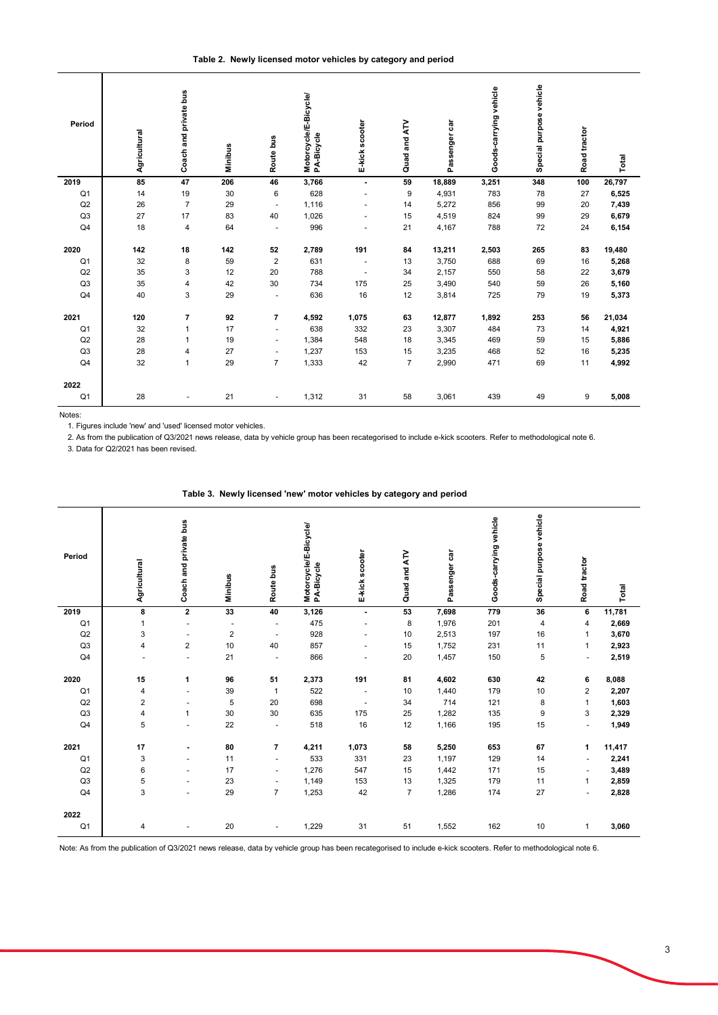| Period         | Agricultural | Coach and private bus   | <b>Minibus</b> | Route bus                | Motorcycle/E-Bicycle/<br>PA-Bicycle | E-kick scooter           | Quad and ATV   | Passenger car | Goods-carrying vehicle | Special purpose vehicle | Road tractor | Total  |
|----------------|--------------|-------------------------|----------------|--------------------------|-------------------------------------|--------------------------|----------------|---------------|------------------------|-------------------------|--------------|--------|
| 2019           | 85           | 47                      | 206            | 46                       | 3,766                               | $\blacksquare$           | 59             | 18,889        | 3,251                  | 348                     | 100          | 26,797 |
| Q <sub>1</sub> | 14           | 19                      | 30             | 6                        | 628                                 |                          | 9              | 4,931         | 783                    | 78                      | 27           | 6,525  |
| Q2             | 26           | $\overline{7}$          | 29             | $\overline{\phantom{a}}$ | 1,116                               |                          | 14             | 5,272         | 856                    | 99                      | 20           | 7,439  |
| Q <sub>3</sub> | 27           | 17                      | 83             | 40                       | 1,026                               | $\overline{\phantom{a}}$ | 15             | 4,519         | 824                    | 99                      | 29           | 6,679  |
| Q <sub>4</sub> | 18           | $\overline{\mathbf{4}}$ | 64             |                          | 996                                 |                          | 21             | 4,167         | 788                    | 72                      | 24           | 6,154  |
| 2020           | 142          | 18                      | 142            | 52                       | 2,789                               | 191                      | 84             | 13,211        | 2,503                  | 265                     | 83           | 19,480 |
| Q <sub>1</sub> | 32           | 8                       | 59             | 2                        | 631                                 | $\overline{\phantom{m}}$ | 13             | 3,750         | 688                    | 69                      | 16           | 5,268  |
| Q2             | 35           | 3                       | 12             | 20                       | 788                                 | $\blacksquare$           | 34             | 2,157         | 550                    | 58                      | 22           | 3,679  |
| Q <sub>3</sub> | 35           | 4                       | 42             | 30                       | 734                                 | 175                      | 25             | 3,490         | 540                    | 59                      | 26           | 5,160  |
| Q <sub>4</sub> | 40           | 3                       | 29             | $\blacksquare$           | 636                                 | 16                       | 12             | 3,814         | 725                    | 79                      | 19           | 5,373  |
| 2021           | 120          | $\overline{7}$          | 92             | $\overline{7}$           | 4,592                               | 1,075                    | 63             | 12,877        | 1,892                  | 253                     | 56           | 21,034 |
| Q <sub>1</sub> | 32           | 1                       | 17             | $\overline{\phantom{a}}$ | 638                                 | 332                      | 23             | 3,307         | 484                    | 73                      | 14           | 4,921  |
| Q2             | 28           | 1                       | 19             | $\overline{\phantom{a}}$ | 1,384                               | 548                      | 18             | 3,345         | 469                    | 59                      | 15           | 5,886  |
| Q3             | 28           | 4                       | 27             |                          | 1,237                               | 153                      | 15             | 3,235         | 468                    | 52                      | 16           | 5,235  |
| Q <sub>4</sub> | 32           | $\mathbf{1}$            | 29             | $\overline{7}$           | 1,333                               | 42                       | $\overline{7}$ | 2,990         | 471                    | 69                      | 11           | 4,992  |
| 2022           |              |                         |                |                          |                                     |                          |                |               |                        |                         |              |        |
| Q <sub>1</sub> | 28           |                         | 21             |                          | 1,312                               | 31                       | 58             | 3,061         | 439                    | 49                      | 9            | 5,008  |

Notes:

1. Figures include 'new' and 'used' licensed motor vehicles.

2. As from the publication of Q3/2021 news release, data by vehicle group has been recategorised to include e-kick scooters. Refer to methodological note 6.

3. Data for Q2/2021 has been revised.

| Period                 | Agricultural   | Coach and private bus    | Minibus        | Route bus                | Motorcycle/E-Bicycle/<br>PA-Bicycle | E-kick scooter           | Quad and ATV   | Passenger car | Goods-carrying vehicle | Special purpose vehicle | Road tractor             | Total  |
|------------------------|----------------|--------------------------|----------------|--------------------------|-------------------------------------|--------------------------|----------------|---------------|------------------------|-------------------------|--------------------------|--------|
| 2019                   | 8              | $\mathbf{2}$             | 33             | 40                       | 3,126                               | $\blacksquare$           | 53             | 7,698         | 779                    | 36                      | 6                        | 11,781 |
| Q <sub>1</sub>         | 1              | $\overline{\phantom{a}}$ | ٠              |                          | 475                                 | ٠                        | 8              | 1,976         | 201                    | 4                       | 4                        | 2,669  |
| Q2                     | 3              | $\overline{\phantom{a}}$ | $\overline{2}$ |                          | 928                                 | $\blacksquare$           | 10             | 2,513         | 197                    | 16                      | 1                        | 3,670  |
| Q3                     | $\overline{4}$ | $\overline{2}$           | 10             | 40                       | 857                                 | $\overline{a}$           | 15             | 1,752         | 231                    | 11                      | 1                        | 2,923  |
| Q <sub>4</sub>         |                | $\overline{\phantom{a}}$ | 21             |                          | 866                                 | $\blacksquare$           | 20             | 1,457         | 150                    | 5                       | $\sim$                   | 2,519  |
| 2020                   | 15             | 1                        | 96             | 51                       | 2,373                               | 191                      | 81             | 4,602         | 630                    | 42                      | 6                        | 8,088  |
| Q <sub>1</sub>         | 4              | $\blacksquare$           | 39             | $\mathbf{1}$             | 522                                 | $\overline{\phantom{a}}$ | 10             | 1,440         | 179                    | $10$                    | 2                        | 2,207  |
| Q2                     | $\overline{c}$ | $\overline{\phantom{a}}$ | 5              | 20                       | 698                                 | $\overline{\phantom{a}}$ | 34             | 714           | 121                    | 8                       | 1                        | 1,603  |
| Q3                     | $\overline{4}$ | $\mathbf{1}$             | 30             | 30                       | 635                                 | 175                      | 25             | 1,282         | 135                    | 9                       | 3                        | 2,329  |
| Q4                     | 5              | $\overline{\phantom{a}}$ | 22             | $\blacksquare$           | 518                                 | 16                       | 12             | 1,166         | 195                    | 15                      | $\sim$                   | 1,949  |
| 2021                   | 17             | $\blacksquare$           | 80             | 7                        | 4,211                               | 1,073                    | 58             | 5,250         | 653                    | 67                      | 1                        | 11,417 |
| Q <sub>1</sub>         | 3              | $\overline{\phantom{a}}$ | 11             | $\overline{\phantom{a}}$ | 533                                 | 331                      | 23             | 1,197         | 129                    | 14                      | $\overline{\phantom{a}}$ | 2,241  |
| Q2                     | 6              | $\overline{\phantom{a}}$ | 17             | $\blacksquare$           | 1,276                               | 547                      | 15             | 1,442         | 171                    | 15                      |                          | 3,489  |
| Q3                     | 5              | $\overline{\phantom{a}}$ | 23             | $\blacksquare$           | 1,149                               | 153                      | 13             | 1,325         | 179                    | 11                      | $\mathbf{1}$             | 2,859  |
| Q <sub>4</sub>         | 3              | $\overline{\phantom{a}}$ | 29             | $\overline{7}$           | 1,253                               | 42                       | $\overline{7}$ | 1,286         | 174                    | 27                      | $\ddot{\phantom{1}}$     | 2,828  |
| 2022<br>Q <sub>1</sub> | 4              |                          | 20             |                          | 1,229                               | 31                       | 51             | 1,552         | 162                    | 10                      | $\mathbf{1}$             | 3,060  |

|  |  | Table 3. Newly licensed 'new' motor vehicles by category and period |  |  |
|--|--|---------------------------------------------------------------------|--|--|
|  |  |                                                                     |  |  |

Note: As from the publication of Q3/2021 news release, data by vehicle group has been recategorised to include e-kick scooters. Refer to methodological note 6.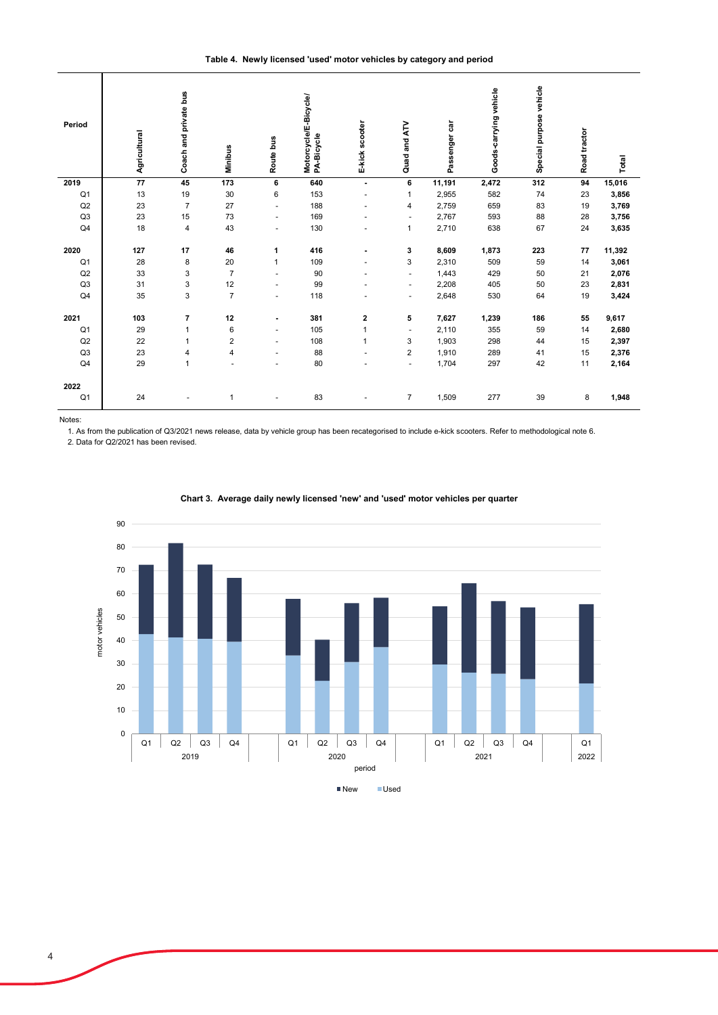**Table 4. Newly licensed 'used' motor vehicles by category and period**

| Period         | Agricultural | Coach and private bus | Minibus        | Route bus            | Motorcycle/E-Bicycle/<br>PA-Bicycle | E-kick scooter           | Quad and ATV             | Passenger car | Goods-carrying vehicle | Special purpose vehicle | Road tractor | Total  |
|----------------|--------------|-----------------------|----------------|----------------------|-------------------------------------|--------------------------|--------------------------|---------------|------------------------|-------------------------|--------------|--------|
| 2019           | 77           | 45                    | 173            | 6                    | 640                                 | $\blacksquare$           | 6                        | 11,191        | 2,472                  | 312                     | 94           | 15,016 |
| Q <sub>1</sub> | 13           | 19                    | 30             | 6                    | 153                                 | $\overline{\phantom{a}}$ | $\mathbf{1}$             | 2,955         | 582                    | 74                      | 23           | 3,856  |
| Q2             | 23           | $\overline{7}$        | 27             | $\ddot{\phantom{1}}$ | 188                                 |                          | 4                        | 2,759         | 659                    | 83                      | 19           | 3,769  |
| Q3             | 23           | 15                    | 73             | ٠                    | 169                                 |                          | $\sim$                   | 2,767         | 593                    | 88                      | 28           | 3,756  |
| Q4             | 18           | $\sqrt{4}$            | 43             | ٠                    | 130                                 |                          | 1                        | 2,710         | 638                    | 67                      | 24           | 3,635  |
| 2020           | 127          | 17                    | 46             | 1                    | 416                                 |                          | 3                        | 8,609         | 1,873                  | 223                     | 77           | 11,392 |
| Q <sub>1</sub> | 28           | 8                     | 20             | $\mathbf{1}$         | 109                                 |                          | 3                        | 2,310         | 509                    | 59                      | 14           | 3,061  |
| Q2             | 33           | 3                     | $\overline{7}$ | ÷                    | 90                                  |                          | $\overline{\phantom{a}}$ | 1,443         | 429                    | 50                      | 21           | 2,076  |
| Q3             | 31           | 3                     | 12             | ٠                    | 99                                  |                          | $\blacksquare$           | 2,208         | 405                    | 50                      | 23           | 2,831  |
| Q4             | 35           | 3                     | $\overline{7}$ | ÷                    | 118                                 |                          | $\overline{\phantom{a}}$ | 2,648         | 530                    | 64                      | 19           | 3,424  |
| 2021           | 103          | $\overline{7}$        | 12             | $\blacksquare$       | 381                                 | 2                        | 5                        | 7,627         | 1,239                  | 186                     | 55           | 9,617  |
| Q <sub>1</sub> | 29           | $\mathbf{1}$          | 6              | ٠                    | 105                                 | 1                        | $\sim$                   | 2,110         | 355                    | 59                      | 14           | 2,680  |
| Q2             | 22           | $\mathbf{1}$          | 2              | $\blacksquare$       | 108                                 | 1                        | 3                        | 1,903         | 298                    | 44                      | 15           | 2,397  |
| Q3             | 23           | 4                     | 4              | ٠                    | 88                                  |                          | $\overline{2}$           | 1,910         | 289                    | 41                      | 15           | 2,376  |
| Q <sub>4</sub> | 29           | $\mathbf{1}$          | $\blacksquare$ | ۰                    | 80                                  |                          | $\sim$                   | 1,704         | 297                    | 42                      | 11           | 2,164  |
| 2022           |              |                       |                |                      |                                     |                          |                          |               |                        |                         |              |        |
| Q <sub>1</sub> | 24           |                       | 1              |                      | 83                                  |                          | $\overline{7}$           | 1,509         | 277                    | 39                      | 8            | 1,948  |

Notes:

1. As from the publication of Q3/2021 news release, data by vehicle group has been recategorised to include e-kick scooters. Refer to methodological note 6.

2. Data for Q2/2021 has been revised.



# **Chart 3. Average daily newly licensed 'new' and 'used' motor vehicles per quarter**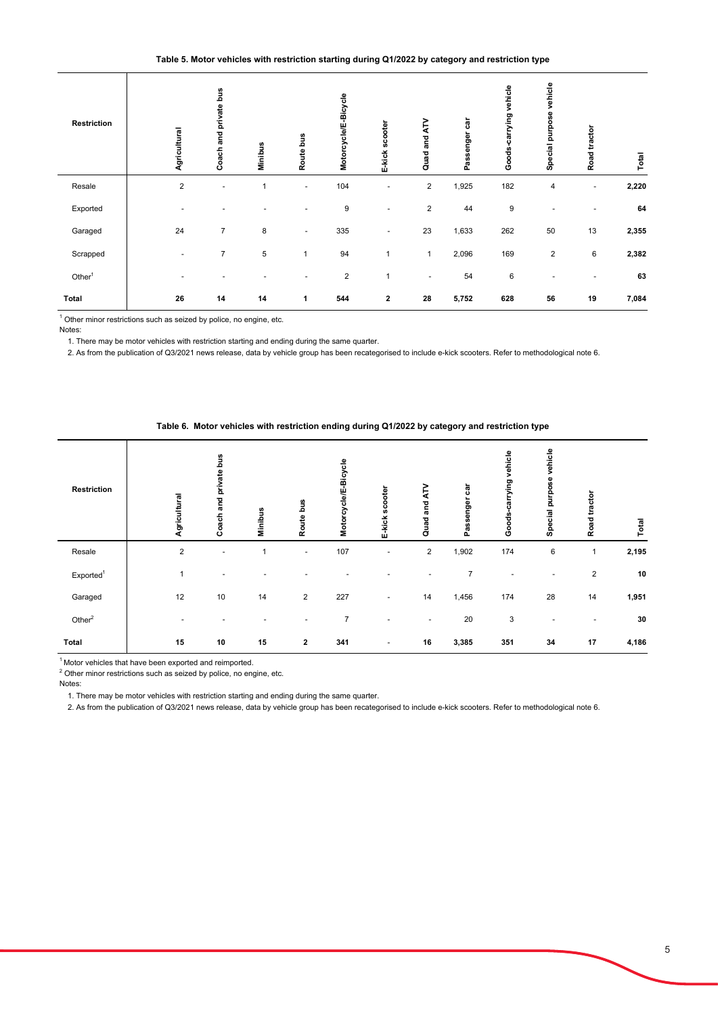## **Table 5. Motor vehicles with restriction starting during Q1/2022 by category and restriction type**

| <b>Restriction</b>                                                                                                                                                                                                                                                                                                                           | Agricultural     | Coach and private bus    | Minibus      | Route bus                | Motorcycle/E-Bicycle | E-kick scooter | Quad and ATV                                                                                    | Passenger car | Goods-carrying vehicle | Special purpose vehicle | Road tractor | Total |
|----------------------------------------------------------------------------------------------------------------------------------------------------------------------------------------------------------------------------------------------------------------------------------------------------------------------------------------------|------------------|--------------------------|--------------|--------------------------|----------------------|----------------|-------------------------------------------------------------------------------------------------|---------------|------------------------|-------------------------|--------------|-------|
| Resale                                                                                                                                                                                                                                                                                                                                       | $\boldsymbol{2}$ | $\overline{\phantom{a}}$ | $\mathbf{1}$ | $\blacksquare$           | 104                  |                | $\overline{\mathbf{c}}$                                                                         | 1,925         | 182                    | $\overline{\mathbf{4}}$ | ä,           | 2,220 |
| Exported                                                                                                                                                                                                                                                                                                                                     |                  |                          |              |                          | $\boldsymbol{9}$     |                | $\overline{\mathbf{c}}$                                                                         | 44            | $\boldsymbol{9}$       |                         |              | 64    |
| Garaged                                                                                                                                                                                                                                                                                                                                      | 24               | $\overline{7}$           | 8            | $\overline{\phantom{a}}$ | 335                  |                | 23                                                                                              | 1,633         | 262                    | 50                      | 13           | 2,355 |
| Scrapped                                                                                                                                                                                                                                                                                                                                     |                  | $\overline{7}$           | 5            | $\mathbf{1}$             | 94                   | $\mathbf{1}$   | $\mathbf{1}$                                                                                    | 2,096         | 169                    | $\overline{2}$          | 6            | 2,382 |
| Other $1$                                                                                                                                                                                                                                                                                                                                    |                  |                          |              | $\ddot{\phantom{1}}$     | $\overline{2}$       | $\mathbf{1}$   | $\ddot{\phantom{1}}$                                                                            | 54            | 6                      |                         |              | 63    |
| Total                                                                                                                                                                                                                                                                                                                                        | 26               | 14                       | 14           | 1                        | 544                  | $\mathbf{2}$   | 28                                                                                              | 5,752         | 628                    | 56                      | 19           | 7,084 |
| Other minor restrictions such as seized by police, no engine, etc.<br>Notes:<br>1. There may be motor vehicles with restriction starting and ending during the same quarter.<br>2. As from the publication of Q3/2021 news release, data by vehicle group has been recategorised to include e-kick scooters. Refer to methodological note 6. |                  |                          |              |                          |                      |                | Table 6. Motor vehicles with restriction ending during Q1/2022 by category and restriction type |               |                        |                         |              |       |
| <b>Restriction</b>                                                                                                                                                                                                                                                                                                                           | Agricultural     | Coach and private bus    | Minibus      | Route bus                | Motorcycle/E-Bicycle | E-kick scooter | Quad and ATV                                                                                    | Passenger car | Goods-carrying vehicle | Special purpose vehicle | Road tractor | Total |

|                       | Agricultural   | Coach and p                                                                                     | Minibus      | Route bus    | Motorcycle/E         | E-kick scoote        | Quad and AT    | Passenger c    | Goods-carry            | Special purp            | Road tractor | Total          |
|-----------------------|----------------|-------------------------------------------------------------------------------------------------|--------------|--------------|----------------------|----------------------|----------------|----------------|------------------------|-------------------------|--------------|----------------|
| Resale                | $\overline{2}$ | ÷,                                                                                              | $\mathbf{1}$ | ÷,           | 104                  | L,                   | $\sqrt{2}$     | 1,925          | 182                    | $\overline{\mathbf{4}}$ | ÷,           | 2,220          |
| Exported              |                |                                                                                                 |              |              | $\boldsymbol{9}$     |                      | $\sqrt{2}$     | 44             | $9\,$                  |                         |              | 64             |
| Garaged               | 24             | 7                                                                                               | 8            |              | 335                  |                      | 23             | 1,633          | 262                    | 50                      | 13           | 2,355          |
| Scrapped              |                | $\overline{7}$                                                                                  | 5            | $\mathbf{1}$ | 94                   | $\overline{1}$       | $\mathbf{1}$   | 2,096          | 169                    | $\sqrt{2}$              | $\,6$        | 2,382          |
| Other <sup>1</sup>    |                |                                                                                                 |              |              | $\overline{2}$       | $\mathbf{1}$         |                | 54             | $6\phantom{1}6$        |                         |              | 63             |
| <b>Total</b>          | 26             | 14                                                                                              | 14           | 1            | 544                  | $\boldsymbol{2}$     | 28             | 5,752          | 628                    | 56                      | 19           | 7,084          |
|                       |                |                                                                                                 |              |              |                      |                      |                |                |                        |                         |              |                |
|                       |                | Table 6. Motor vehicles with restriction ending during Q1/2022 by category and restriction type |              |              |                      |                      |                |                |                        |                         |              |                |
| Restriction           | Agricultural   | Coach and private bus                                                                           | Minibus      | Route bus    | Motorcycle/E-Bicycle |                      | Quad and ATV   | Passenger car  | Goods-carrying vehicle | Special purpose vehicle | Road tractor |                |
| Resale                | $\overline{2}$ | $\overline{a}$                                                                                  | $\mathbf{1}$ | L,           | 107                  | E-kick scooter<br>L. | $\overline{2}$ | 1,902          | 174                    | 6                       | $\mathbf{1}$ | Total<br>2,195 |
| Exported <sup>1</sup> | $\mathbf{1}$   |                                                                                                 |              |              |                      |                      |                | $\overline{7}$ |                        |                         | $\sqrt{2}$   | 10             |
| Garaged               | 12             | 10                                                                                              | 14           | 2            | 227                  |                      | 14             | 1,456          | 174                    | 28                      | 14           | 1,951          |
| Other $2$             |                |                                                                                                 |              |              | $\overline{7}$       |                      |                | 20             | $\mathbf{3}$           |                         |              | 30             |
| <b>Total</b>          | 15             | 10                                                                                              | 15           | $\mathbf{2}$ | 341                  |                      | 16             | 3,385          | 351                    | 34                      | 17           | 4,186          |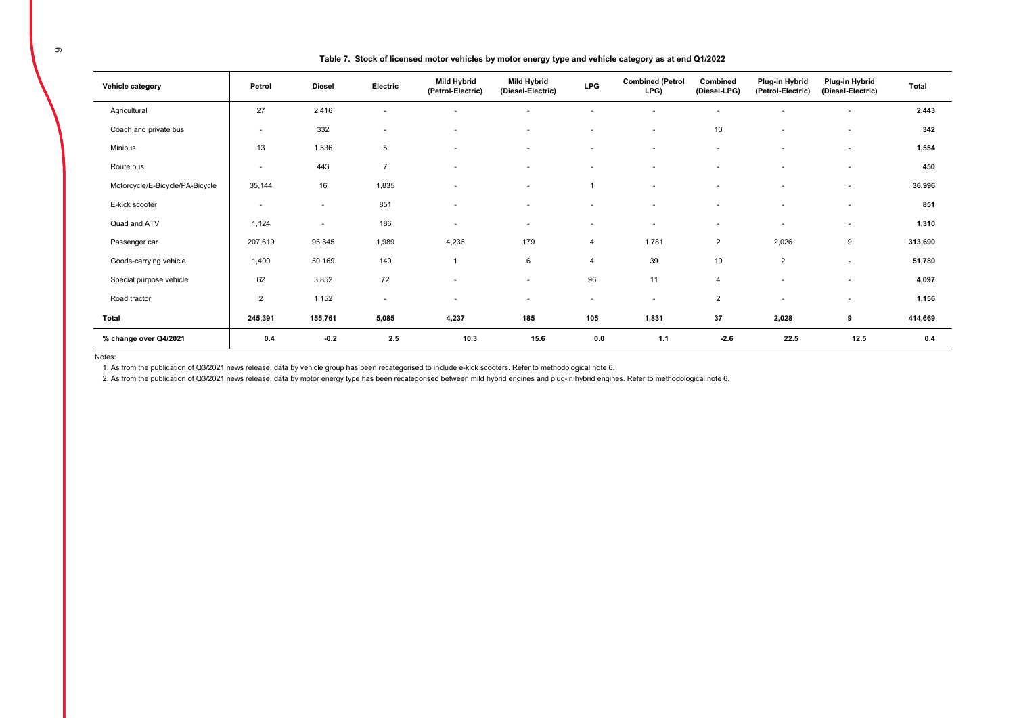| . . |  |  |
|-----|--|--|
|     |  |  |
|     |  |  |
|     |  |  |

#### **Table 7. Stock of licensed motor vehicles by motor energy type and vehicle category as at end Q1/2022**

| Vehicle category                | Petrol                   | <b>Diesel</b> | Electric                 | <b>Mild Hybrid</b><br>(Petrol-Electric) | <b>Mild Hybrid</b><br>(Diesel-Electric) | <b>LPG</b>               | <b>Combined (Petrol-</b><br>LPG) | Combined<br>(Diesel-LPG) | Plug-in Hybrid<br>(Petrol-Electric) | Plug-in Hybrid<br>(Diesel-Electric) | Total   |
|---------------------------------|--------------------------|---------------|--------------------------|-----------------------------------------|-----------------------------------------|--------------------------|----------------------------------|--------------------------|-------------------------------------|-------------------------------------|---------|
| Agricultural                    | 27                       | 2,416         | $\overline{\phantom{a}}$ |                                         | ۰                                       |                          |                                  | $\overline{\phantom{a}}$ |                                     | $\overline{\phantom{a}}$            | 2,443   |
| Coach and private bus           | $\overline{\phantom{a}}$ | 332           | $\sim$                   | $\overline{\phantom{a}}$                | ٠                                       | $\blacksquare$           | $\overline{\phantom{a}}$         | 10                       | $\sim$                              | $\sim$                              | 342     |
| Minibus                         | 13                       | 1,536         | 5                        |                                         | $\sim$                                  | $\overline{a}$           | $\sim$                           | $\sim$                   |                                     | $\sim$                              | 1,554   |
| Route bus                       | $\overline{\phantom{a}}$ | 443           | $\overline{7}$           | $\overline{\phantom{a}}$                | $\sim$                                  | $\blacksquare$           | $\sim$                           | $\sim$                   | $\sim$                              | $\overline{\phantom{a}}$            | 450     |
| Motorcycle/E-Bicycle/PA-Bicycle | 35,144                   | 16            | 1,835                    |                                         | ۰                                       |                          | $\sim$                           | ۰                        |                                     | $\overline{\phantom{a}}$            | 36,996  |
| E-kick scooter                  | $\overline{\phantom{a}}$ | $\sim$        | 851                      | $\overline{\phantom{a}}$                | ٠                                       | $\overline{\phantom{a}}$ | $\overline{\phantom{a}}$         | $\overline{\phantom{a}}$ | $\sim$                              | $\sim$                              | 851     |
| Quad and ATV                    | 1,124                    | $\sim$        | 186                      | $\overline{\phantom{a}}$                | ٠                                       | $\overline{\phantom{a}}$ | $\overline{\phantom{a}}$         | $\overline{\phantom{a}}$ | $\overline{\phantom{a}}$            | $\sim$                              | 1,310   |
| Passenger car                   | 207,619                  | 95,845        | 1,989                    | 4,236                                   | 179                                     | $\overline{4}$           | 1,781                            | $\overline{2}$           | 2,026                               | 9                                   | 313,690 |
| Goods-carrying vehicle          | 1,400                    | 50,169        | 140                      | $\overline{1}$                          | 6                                       | $\overline{4}$           | 39                               | 19                       | $\overline{2}$                      | $\overline{\phantom{a}}$            | 51,780  |
| Special purpose vehicle         | 62                       | 3,852         | 72                       | $\overline{a}$                          | ٠                                       | 96                       | 11                               | $\overline{4}$           | $\overline{\phantom{a}}$            | $\overline{\phantom{a}}$            | 4,097   |
| Road tractor                    | $\overline{2}$           | 1,152         | $\sim$                   | $\overline{a}$                          | ٠                                       | $\overline{\phantom{a}}$ | $\sim$                           | 2                        |                                     | $\sim$                              | 1,156   |
| Total                           | 245,391                  | 155,761       | 5,085                    | 4,237                                   | 185                                     | 105                      | 1,831                            | 37                       | 2,028                               | 9                                   | 414,669 |
| % change over Q4/2021           | 0.4                      | $-0.2$        | 2.5                      | 10.3                                    | 15.6                                    | 0.0                      | 1.1                              | $-2.6$                   | 22.5                                | 12.5                                | 0.4     |

Notes:

1. As from the publication of Q3/2021 news release, data by vehicle group has been recategorised to include e-kick scooters. Refer to methodological note 6.

2. As from the publication of Q3/2021 news release, data by motor energy type has been recategorised between mild hybrid engines and plug-in hybrid engines. Refer to methodological note 6.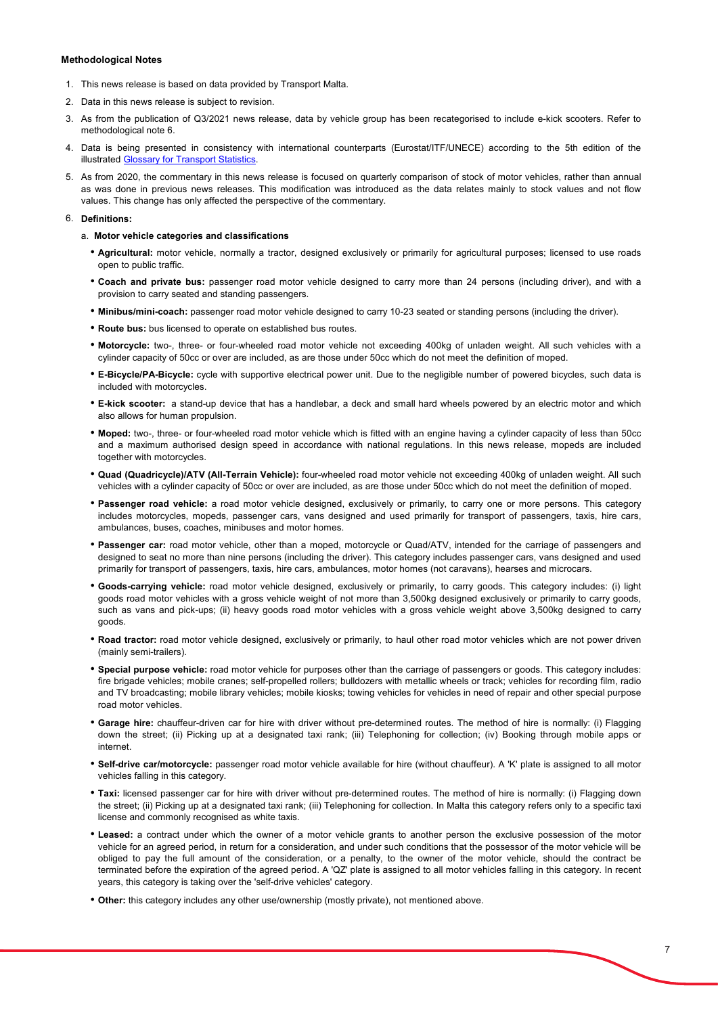### **Methodological Notes**

- 1. This news release is based on data provided by Transport Malta.
- 2. Data in this news release is subject to revision.
- 3. As from the publication of Q3/2021 news release, data by vehicle group has been recategorised to include e-kick scooters. Refer to methodological note 6.
- 4. Data is being presented in consistency with international counterparts (Eurostat/ITF/UNECE) according to the 5th edition of the **illustrated Glossary for Transport Statistics**
- 5. As from 2020, the commentary in this news release is focused on quarterly comparison of stock of motor vehicles, rather than annual as was done in previous news releases. This modification was introduced as the data relates mainly to stock values and not flow values. This change has only affected the perspective of the commentary.

## 6. **Definitions:**

- a. **Motor vehicle categories and classifications**
	- **Agricultural:** motor vehicle, normally a tractor, designed exclusively or primarily for agricultural purposes; licensed to use roads open to public traffic.
	- **Coach and private bus:** passenger road motor vehicle designed to carry more than 24 persons (including driver), and with a provision to carry seated and standing passengers.
	- **Minibus/mini-coach:** passenger road motor vehicle designed to carry 10-23 seated or standing persons (including the driver).
	- **Route bus:** bus licensed to operate on established bus routes.
	- **Motorcycle:** two-, three- or four-wheeled road motor vehicle not exceeding 400kg of unladen weight. All such vehicles with a cylinder capacity of 50cc or over are included, as are those under 50cc which do not meet the definition of moped.
	- **E-Bicycle/PA-Bicycle:** cycle with supportive electrical power unit. Due to the negligible number of powered bicycles, such data is included with motorcycles.
	- **E-kick scooter:** a stand-up device that has a handlebar, a deck and small hard wheels powered by an electric motor and which also allows for human propulsion.
	- **Moped:** two-, three- or four-wheeled road motor vehicle which is fitted with an engine having a cylinder capacity of less than 50cc and a maximum authorised design speed in accordance with national regulations. In this news release, mopeds are included together with motorcycles.
	- **Quad (Quadricycle)/ATV (All-Terrain Vehicle):** four-wheeled road motor vehicle not exceeding 400kg of unladen weight. All such vehicles with a cylinder capacity of 50cc or over are included, as are those under 50cc which do not meet the definition of moped.
	- **Passenger road vehicle:** a road motor vehicle designed, exclusively or primarily, to carry one or more persons. This category includes motorcycles, mopeds, passenger cars, vans designed and used primarily for transport of passengers, taxis, hire cars, ambulances, buses, coaches, minibuses and motor homes.
	- **Passenger car:** road motor vehicle, other than a moped, motorcycle or Quad/ATV, intended for the carriage of passengers and designed to seat no more than nine persons (including the driver). This category includes passenger cars, vans designed and used primarily for transport of passengers, taxis, hire cars, ambulances, motor homes (not caravans), hearses and microcars.
	- **Goods-carrying vehicle:** road motor vehicle designed, exclusively or primarily, to carry goods. This category includes: (i) light goods road motor vehicles with a gross vehicle weight of not more than 3,500kg designed exclusively or primarily to carry goods, such as vans and pick-ups; (ii) heavy goods road motor vehicles with a gross vehicle weight above 3,500kg designed to carry goods.
	- **Road tractor:** road motor vehicle designed, exclusively or primarily, to haul other road motor vehicles which are not power driven (mainly semi-trailers).
	- **Special purpose vehicle:** road motor vehicle for purposes other than the carriage of passengers or goods. This category includes: fire brigade vehicles; mobile cranes; self-propelled rollers; bulldozers with metallic wheels or track; vehicles for recording film, radio and TV broadcasting; mobile library vehicles; mobile kiosks; towing vehicles for vehicles in need of repair and other special purpose road motor vehicles.
	- **Garage hire:** chauffeur-driven car for hire with driver without pre-determined routes. The method of hire is normally: (i) Flagging down the street; (ii) Picking up at a designated taxi rank; (iii) Telephoning for collection; (iv) Booking through mobile apps or internet.
	- **Self-drive car/motorcycle:** passenger road motor vehicle available for hire (without chauffeur). A 'K' plate is assigned to all motor vehicles falling in this category.
	- **Taxi:** licensed passenger car for hire with driver without pre-determined routes. The method of hire is normally: (i) Flagging down the street; (ii) Picking up at a designated taxi rank; (iii) Telephoning for collection. In Malta this category refers only to a specific taxi license and commonly recognised as white taxis.
	- **Leased:** a contract under which the owner of a motor vehicle grants to another person the exclusive possession of the motor vehicle for an agreed period, in return for a consideration, and under such conditions that the possessor of the motor vehicle will be obliged to pay the full amount of the consideration, or a penalty, to the owner of the motor vehicle, should the contract be terminated before the expiration of the agreed period. A 'QZ' plate is assigned to all motor vehicles falling in this category. In recent years, this category is taking over the 'self-drive vehicles' category.
	- **Other:** this category includes any other use/ownership (mostly private), not mentioned above.